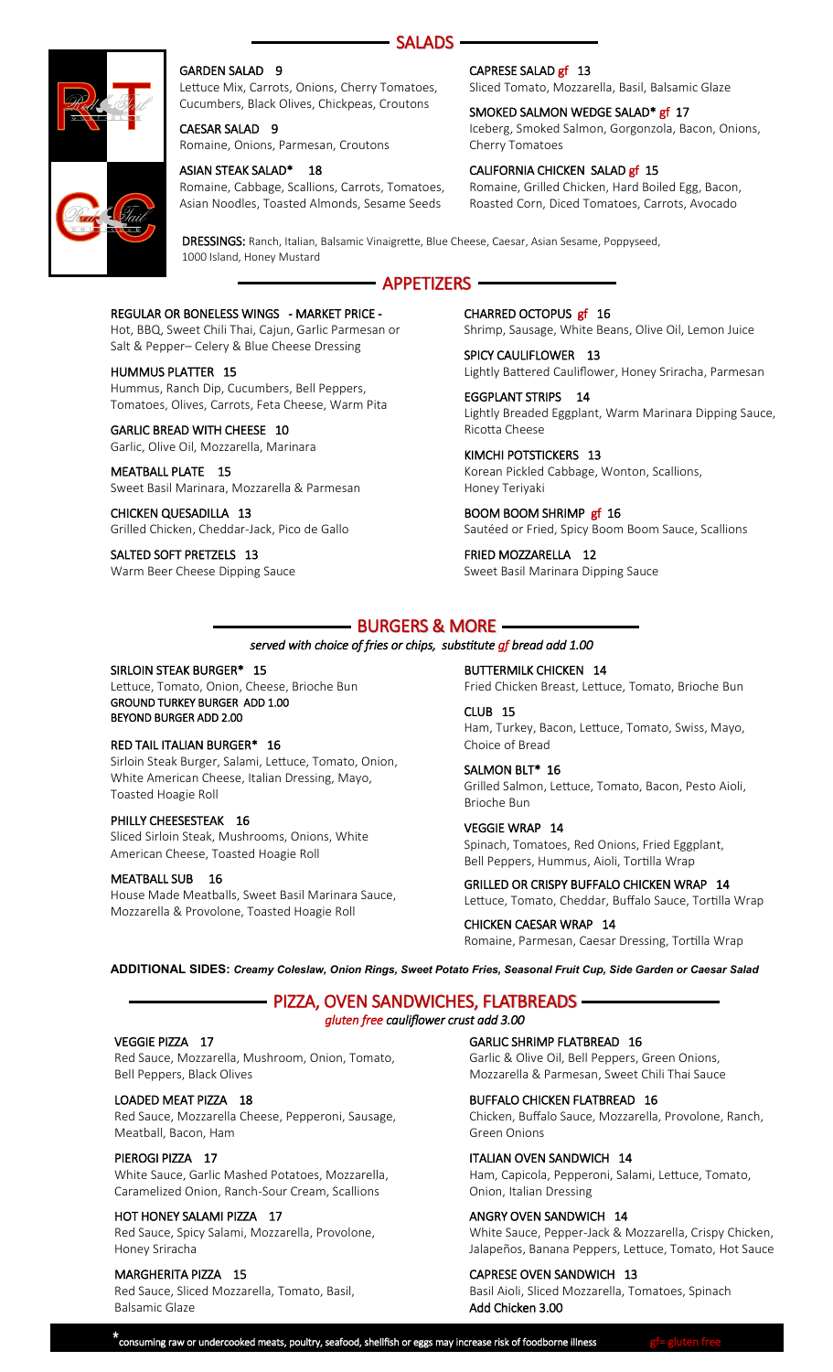



### GARDEN SALAD 9

Lettuce Mix, Carrots, Onions, Cherry Tomatoes, Cucumbers, Black Olives, Chickpeas, Croutons

CAESAR SALAD 9 Romaine, Onions, Parmesan, Croutons

### ASIAN STEAK SALAD\* 18

Romaine, Cabbage, Scallions, Carrots, Tomatoes, Asian Noodles, Toasted Almonds, Sesame Seeds

### CAPRESE SALAD gf 13

Sliced Tomato, Mozzarella, Basil, Balsamic Glaze

#### SMOKED SALMON WEDGE SALAD<sup>\*</sup> gf 17 Iceberg, Smoked Salmon, Gorgonzola, Bacon, Onions, Cherry Tomatoes

#### CALIFORNIA CHICKEN SALAD gf 15

Romaine, Grilled Chicken, Hard Boiled Egg, Bacon, Roasted Corn, Diced Tomatoes, Carrots, Avocado

DRESSINGS: Ranch, Italian, Balsamic Vinaigrette, Blue Cheese, Caesar, Asian Sesame, Poppyseed, 1000 Island, Honey Mustard

# APPETIZERS

#### REGULAR OR BONELESS WINGS - MARKET PRICE -

Hot, BBQ, Sweet Chili Thai, Cajun, Garlic Parmesan or Salt & Pepper– Celery & Blue Cheese Dressing

#### HUMMUS PLATTER 15

Hummus, Ranch Dip, Cucumbers, Bell Peppers, Tomatoes, Olives, Carrots, Feta Cheese, Warm Pita

## GARLIC BREAD WITH CHEESE 10

Garlic, Olive Oil, Mozzarella, Marinara

#### MEATBALL PLATE 15 Sweet Basil Marinara, Mozzarella & Parmesan

CHICKEN QUESADILLA 13 Grilled Chicken, Cheddar-Jack, Pico de Gallo

SALTED SOFT PRETZELS 13 Warm Beer Cheese Dipping Sauce CHARRED OCTOPUS gf 16 Shrimp, Sausage, White Beans, Olive Oil, Lemon Juice

SPICY CAULIFLOWER 13 Lightly Battered Cauliflower, Honey Sriracha, Parmesan

EGGPLANT STRIPS 14 Lightly Breaded Eggplant, Warm Marinara Dipping Sauce, Ricotta Cheese

KIMCHI POTSTICKERS 13 Korean Pickled Cabbage, Wonton, Scallions, Honey Teriyaki

BOOM BOOM SHRIMP gf 16 Sautéed or Fried, Spicy Boom Boom Sauce, Scallions

FRIED MOZZARELLA 12 Sweet Basil Marinara Dipping Sauce

# BURGERS & MORE

### *served with choice of fries or chips, substitute gf bread add 1.00*

### SIRLOIN STEAK BURGER\* 15

Lettuce, Tomato, Onion, Cheese, Brioche Bun GROUND TURKEY BURGER ADD 1.00 BEYOND BURGER ADD 2.00

### RED TAIL ITALIAN BURGER\* 16

Sirloin Steak Burger, Salami, Lettuce, Tomato, Onion, White American Cheese, Italian Dressing, Mayo, Toasted Hoagie Roll

### PHILLY CHEESESTEAK 16

Sliced Sirloin Steak, Mushrooms, Onions, White American Cheese, Toasted Hoagie Roll

### MEATBALL SUB 16

House Made Meatballs, Sweet Basil Marinara Sauce, Mozzarella & Provolone, Toasted Hoagie Roll

BUTTERMILK CHICKEN 14

Fried Chicken Breast, Lettuce, Tomato, Brioche Bun CLUB 15

Ham, Turkey, Bacon, Lettuce, Tomato, Swiss, Mayo, Choice of Bread

SALMON BLT\* 16 Grilled Salmon, Lettuce, Tomato, Bacon, Pesto Aioli, Brioche Bun

VEGGIE WRAP 14 Spinach, Tomatoes, Red Onions, Fried Eggplant, Bell Peppers, Hummus, Aioli, Tortilla Wrap

GRILLED OR CRISPY BUFFALO CHICKEN WRAP 14 Lettuce, Tomato, Cheddar, Buffalo Sauce, Tortilla Wrap

CHICKEN CAESAR WRAP 14 Romaine, Parmesan, Caesar Dressing, Tortilla Wrap

**ADDITIONAL SIDES:** *Creamy Coleslaw, Onion Rings, Sweet Potato Fries, Seasonal Fruit Cup, Side Garden or Caesar Salad*

# PIZZA, OVEN SANDWICHES, FLATBREADS *gluten free cauliflower crust add 3.00*

### VEGGIE PIZZA 17

Red Sauce, Mozzarella, Mushroom, Onion, Tomato, Bell Peppers, Black Olives

### LOADED MEAT PIZZA 18

Red Sauce, Mozzarella Cheese, Pepperoni, Sausage, Meatball, Bacon, Ham

### PIEROGI PIZZA 17

White Sauce, Garlic Mashed Potatoes, Mozzarella, Caramelized Onion, Ranch-Sour Cream, Scallions

### HOT HONEY SALAMI PIZZA 17

Red Sauce, Spicy Salami, Mozzarella, Provolone, Honey Sriracha

### MARGHERITA PIZZA 15

Red Sauce, Sliced Mozzarella, Tomato, Basil, Balsamic Glaze

GARLIC SHRIMP FLATBREAD 16

Garlic & Olive Oil, Bell Peppers, Green Onions, Mozzarella & Parmesan, Sweet Chili Thai Sauce

### BUFFALO CHICKEN FLATBREAD 16

Chicken, Buffalo Sauce, Mozzarella, Provolone, Ranch, Green Onions

### ITALIAN OVEN SANDWICH 14

Ham, Capicola, Pepperoni, Salami, Lettuce, Tomato, Onion, Italian Dressing

### ANGRY OVEN SANDWICH 14

White Sauce, Pepper-Jack & Mozzarella, Crispy Chicken, Jalapeños, Banana Peppers, Lettuce, Tomato, Hot Sauce

### CAPRESE OVEN SANDWICH 13

Basil Aioli, Sliced Mozzarella, Tomatoes, Spinach Add Chicken 3.00